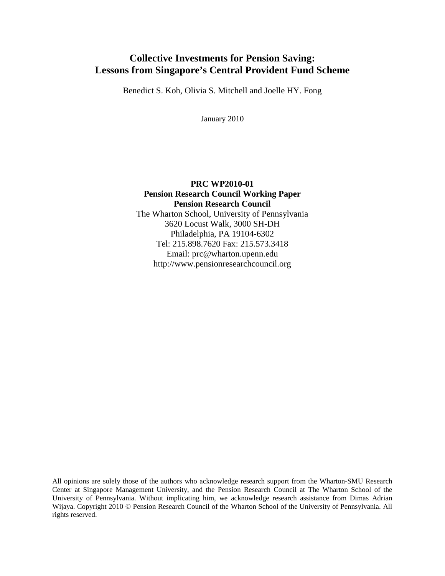## **Collective Investments for Pension Saving: Lessons from Singapore's Central Provident Fund Scheme**

Benedict S. Koh, Olivia S. Mitchell and Joelle HY. Fong

January 2010

## **PRC WP2010-01 Pension Research Council Working Paper Pension Research Council** The Wharton School, University of Pennsylvania 3620 Locust Walk, 3000 SH-DH Philadelphia, PA 19104-6302 Tel: 215.898.7620 Fax: 215.573.3418 Email: prc@wharton.upenn.edu http://www.pensionresearchcouncil.org

All opinions are solely those of the authors who acknowledge research support from the Wharton-SMU Research Center at Singapore Management University, and the Pension Research Council at The Wharton School of the University of Pennsylvania. Without implicating him, we acknowledge research assistance from Dimas Adrian Wijaya. Copyright 2010 © Pension Research Council of the Wharton School of the University of Pennsylvania. All rights reserved.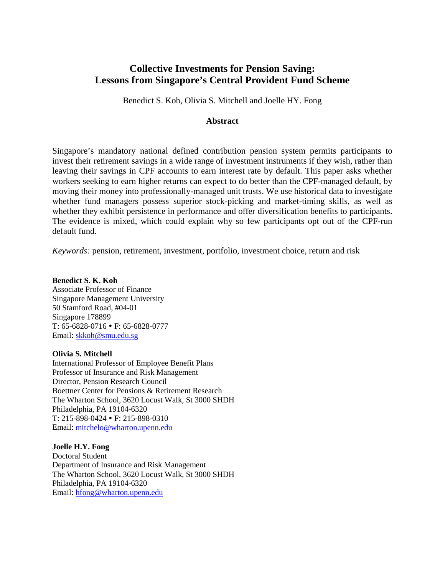## **Collective Investments for Pension Saving: Lessons from Singapore's Central Provident Fund Scheme**

Benedict S. Koh, Olivia S. Mitchell and Joelle HY. Fong

#### **Abstract**

Singapore's mandatory national defined contribution pension system permits participants to invest their retirement savings in a wide range of investment instruments if they wish, rather than leaving their savings in CPF accounts to earn interest rate by default. This paper asks whether workers seeking to earn higher returns can expect to do better than the CPF-managed default, by moving their money into professionally-managed unit trusts. We use historical data to investigate whether fund managers possess superior stock-picking and market-timing skills, as well as whether they exhibit persistence in performance and offer diversification benefits to participants. The evidence is mixed, which could explain why so few participants opt out of the CPF-run default fund.

*Keywords:* pension, retirement, investment, portfolio, investment choice, return and risk

#### **Benedict S. K. Koh**

Associate Professor of Finance Singapore Management University 50 Stamford Road, #04-01 Singapore 178899 T: 65-6828-0716 • F: 65-6828-0777 Email: [skkoh@smu.edu.sg](mailto:skkoh@smu.edu.sg)

#### **Olivia S. Mitchell**

International Professor of Employee Benefit Plans Professor of Insurance and Risk Management Director, Pension Research Council Boettner Center for Pensions & Retirement Research The Wharton School, 3620 Locust Walk, St 3000 SHDH Philadelphia, PA 19104-6320 T: 215-898-0424 F: 215-898-0310 Email: [mitchelo@wharton.upenn.edu](mailto:mitchelo@wharton.upenn.edu)

#### **Joelle H.Y. Fong**

Doctoral Student Department of Insurance and Risk Management The Wharton School, 3620 Locust Walk, St 3000 SHDH Philadelphia, PA 19104-6320 Email: [hfong@wharton.upenn.edu](mailto:hfong@wharton.upenn.edu)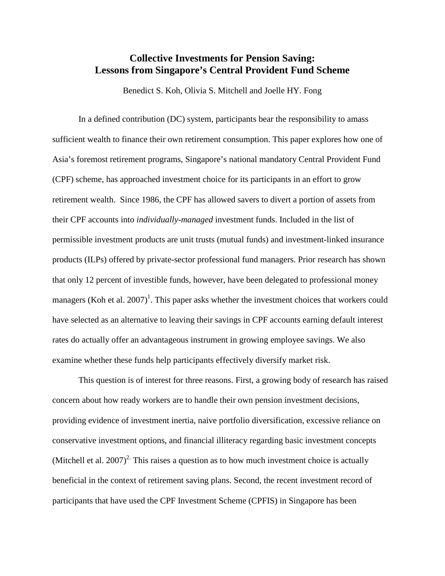## **Collective Investments for Pension Saving: Lessons from Singapore's Central Provident Fund Scheme**

Benedict S. Koh, Olivia S. Mitchell and Joelle HY. Fong

In a defined contribution (DC) system, participants bear the responsibility to amass sufficient wealth to finance their own retirement consumption. This paper explores how one of Asia's foremost retirement programs, Singapore's national mandatory Central Provident Fund (CPF) scheme, has approached investment choice for its participants in an effort to grow retirement wealth. Since 1986, the CPF has allowed savers to divert a portion of assets from their CPF accounts into *individually-managed* investment funds. Included in the list of permissible investment products are unit trusts (mutual funds) and investment-linked insurance products (ILPs) offered by private-sector professional fund managers. Prior research has shown that only 12 percent of investible funds, however, have been delegated to professional money managers (Koh et al.  $2007$ )<sup>1</sup>. This paper asks whether the investment choices that workers could have selected as an alternative to leaving their savings in CPF accounts earning default interest rates do actually offer an advantageous instrument in growing employee savings. We also examine whether these funds help participants effectively diversify market risk.

This question is of interest for three reasons. First, a growing body of research has raised concern about how ready workers are to handle their own pension investment decisions, providing evidence of investment inertia, naive portfolio diversification, excessive reliance on conservative investment options, and financial illiteracy regarding basic investment concepts (Mitchell et al. 2007)<sup>2</sup>. This raises a question as to how much investment choice is actually beneficial in the context of retirement saving plans. Second, the recent investment record of participants that have used the CPF Investment Scheme (CPFIS) in Singapore has been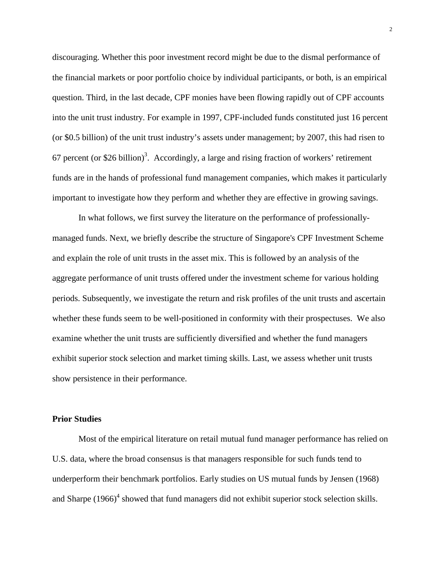discouraging. Whether this poor investment record might be due to the dismal performance of the financial markets or poor portfolio choice by individual participants, or both, is an empirical question. Third, in the last decade, CPF monies have been flowing rapidly out of CPF accounts into the unit trust industry. For example in 1997, CPF-included funds constituted just 16 percent (or \$0.5 billion) of the unit trust industry's assets under management; by 2007, this had risen to 67 percent (or \$26 billion)<sup>3</sup>. Accordingly, a large and rising fraction of workers' retirement funds are in the hands of professional fund management companies, which makes it particularly important to investigate how they perform and whether they are effective in growing savings.

In what follows, we first survey the literature on the performance of professionallymanaged funds. Next, we briefly describe the structure of Singapore's CPF Investment Scheme and explain the role of unit trusts in the asset mix. This is followed by an analysis of the aggregate performance of unit trusts offered under the investment scheme for various holding periods. Subsequently, we investigate the return and risk profiles of the unit trusts and ascertain whether these funds seem to be well-positioned in conformity with their prospectuses. We also examine whether the unit trusts are sufficiently diversified and whether the fund managers exhibit superior stock selection and market timing skills. Last, we assess whether unit trusts show persistence in their performance.

#### **Prior Studies**

Most of the empirical literature on retail mutual fund manager performance has relied on U.S. data, where the broad consensus is that managers responsible for such funds tend to underperform their benchmark portfolios. Early studies on US mutual funds by Jensen (1968) and Sharpe  $(1966)^4$  showed that fund managers did not exhibit superior stock selection skills.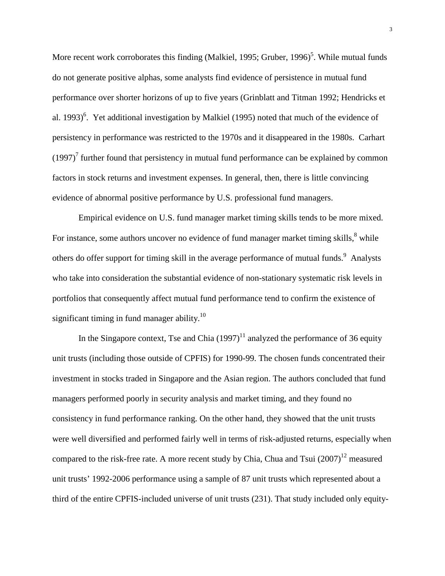More recent work corroborates this finding (Malkiel, 1995; Gruber, 1996)<sup>5</sup>. While mutual funds do not generate positive alphas, some analysts find evidence of persistence in mutual fund performance over shorter horizons of up to five years (Grinblatt and Titman 1992; Hendricks et al. 1993)<sup>6</sup>. Yet additional investigation by Malkiel (1995) noted that much of the evidence of persistency in performance was restricted to the 1970s and it disappeared in the 1980s. Carhart  $(1997)^7$  further found that persistency in mutual fund performance can be explained by common factors in stock returns and investment expenses. In general, then, there is little convincing evidence of abnormal positive performance by U.S. professional fund managers.

Empirical evidence on U.S. fund manager market timing skills tends to be more mixed. For instance, some authors uncover no evidence of fund manager market timing skills,<sup>8</sup> while others do offer support for timing skill in the average performance of mutual funds.<sup>9</sup> Analysts who take into consideration the substantial evidence of non-stationary systematic risk levels in portfolios that consequently affect mutual fund performance tend to confirm the existence of significant timing in fund manager ability.<sup>10</sup>

In the Singapore context, Tse and Chia  $(1997)^{11}$  analyzed the performance of 36 equity unit trusts (including those outside of CPFIS) for 1990-99. The chosen funds concentrated their investment in stocks traded in Singapore and the Asian region. The authors concluded that fund managers performed poorly in security analysis and market timing, and they found no consistency in fund performance ranking. On the other hand, they showed that the unit trusts were well diversified and performed fairly well in terms of risk-adjusted returns, especially when compared to the risk-free rate. A more recent study by Chia, Chua and Tsui  $(2007)^{12}$  measured unit trusts' 1992-2006 performance using a sample of 87 unit trusts which represented about a third of the entire CPFIS-included universe of unit trusts (231). That study included only equity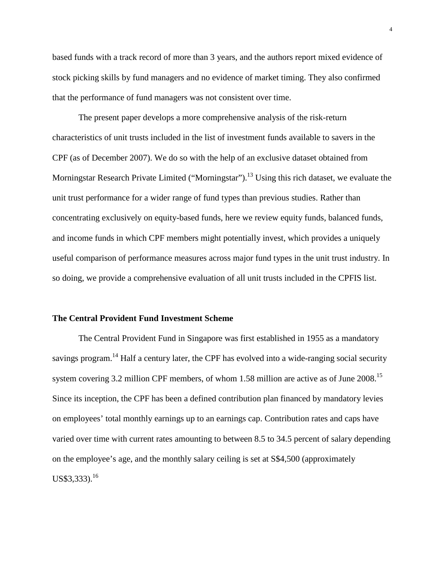based funds with a track record of more than 3 years, and the authors report mixed evidence of stock picking skills by fund managers and no evidence of market timing. They also confirmed that the performance of fund managers was not consistent over time.

The present paper develops a more comprehensive analysis of the risk-return characteristics of unit trusts included in the list of investment funds available to savers in the CPF (as of December 2007). We do so with the help of an exclusive dataset obtained from Morningstar Research Private Limited ("Morningstar").<sup>13</sup> Using this rich dataset, we evaluate the unit trust performance for a wider range of fund types than previous studies. Rather than concentrating exclusively on equity-based funds, here we review equity funds, balanced funds, and income funds in which CPF members might potentially invest, which provides a uniquely useful comparison of performance measures across major fund types in the unit trust industry. In so doing, we provide a comprehensive evaluation of all unit trusts included in the CPFIS list.

#### **The Central Provident Fund Investment Scheme**

The Central Provident Fund in Singapore was first established in 1955 as a mandatory savings program.<sup>14</sup> Half a century later, the CPF has evolved into a wide-ranging social security system covering 3.2 million CPF members, of whom 1.58 million are active as of June 2008.<sup>15</sup> Since its inception, the CPF has been a defined contribution plan financed by mandatory levies on employees' total monthly earnings up to an earnings cap. Contribution rates and caps have varied over time with current rates amounting to between 8.5 to 34.5 percent of salary depending on the employee's age, and the monthly salary ceiling is set at S\$4,500 (approximately  $US$3,333$ ).<sup>16</sup>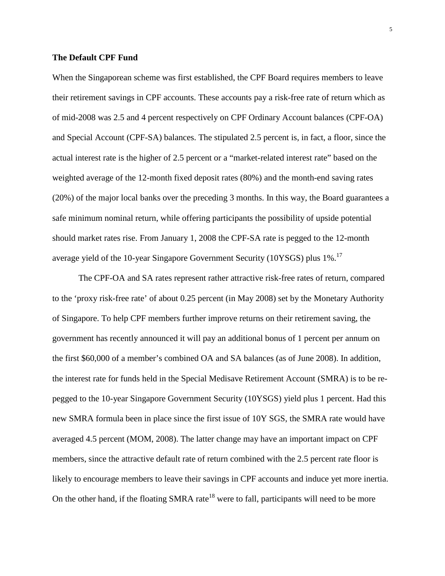#### **The Default CPF Fund**

When the Singaporean scheme was first established, the CPF Board requires members to leave their retirement savings in CPF accounts. These accounts pay a risk-free rate of return which as of mid-2008 was 2.5 and 4 percent respectively on CPF Ordinary Account balances (CPF-OA) and Special Account (CPF-SA) balances. The stipulated 2.5 percent is, in fact, a floor, since the actual interest rate is the higher of 2.5 percent or a "market-related interest rate" based on the weighted average of the 12-month fixed deposit rates (80%) and the month-end saving rates (20%) of the major local banks over the preceding 3 months. In this way, the Board guarantees a safe minimum nominal return, while offering participants the possibility of upside potential should market rates rise. From January 1, 2008 the CPF-SA rate is pegged to the 12-month average yield of the 10-year Singapore Government Security (10YSGS) plus 1%.<sup>17</sup>

The CPF-OA and SA rates represent rather attractive risk-free rates of return, compared to the 'proxy risk-free rate' of about 0.25 percent (in May 2008) set by the Monetary Authority of Singapore. To help CPF members further improve returns on their retirement saving, the government has recently announced it will pay an additional bonus of 1 percent per annum on the first \$60,000 of a member's combined OA and SA balances (as of June 2008). In addition, the interest rate for funds held in the Special Medisave Retirement Account (SMRA) is to be repegged to the 10-year Singapore Government Security (10YSGS) yield plus 1 percent. Had this new SMRA formula been in place since the first issue of 10Y SGS, the SMRA rate would have averaged 4.5 percent (MOM, 2008). The latter change may have an important impact on CPF members, since the attractive default rate of return combined with the 2.5 percent rate floor is likely to encourage members to leave their savings in CPF accounts and induce yet more inertia. On the other hand, if the floating SMRA rate<sup>18</sup> were to fall, participants will need to be more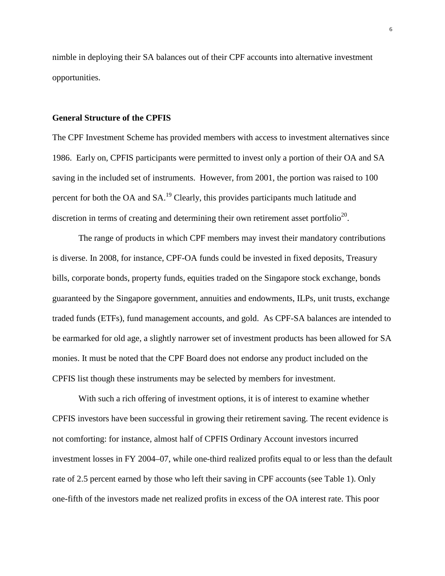nimble in deploying their SA balances out of their CPF accounts into alternative investment opportunities.

#### **General Structure of the CPFIS**

The CPF Investment Scheme has provided members with access to investment alternatives since 1986. Early on, CPFIS participants were permitted to invest only a portion of their OA and SA saving in the included set of instruments. However, from 2001, the portion was raised to 100 percent for both the OA and SA.<sup>19</sup> Clearly, this provides participants much latitude and discretion in terms of creating and determining their own retirement asset portfolio<sup>20</sup>.

The range of products in which CPF members may invest their mandatory contributions is diverse. In 2008, for instance, CPF-OA funds could be invested in fixed deposits, Treasury bills, corporate bonds, property funds, equities traded on the Singapore stock exchange, bonds guaranteed by the Singapore government, annuities and endowments, ILPs, unit trusts, exchange traded funds (ETFs), fund management accounts, and gold. As CPF-SA balances are intended to be earmarked for old age, a slightly narrower set of investment products has been allowed for SA monies. It must be noted that the CPF Board does not endorse any product included on the CPFIS list though these instruments may be selected by members for investment.

With such a rich offering of investment options, it is of interest to examine whether CPFIS investors have been successful in growing their retirement saving. The recent evidence is not comforting: for instance, almost half of CPFIS Ordinary Account investors incurred investment losses in FY 2004–07, while one-third realized profits equal to or less than the default rate of 2.5 percent earned by those who left their saving in CPF accounts (see Table 1). Only one-fifth of the investors made net realized profits in excess of the OA interest rate. This poor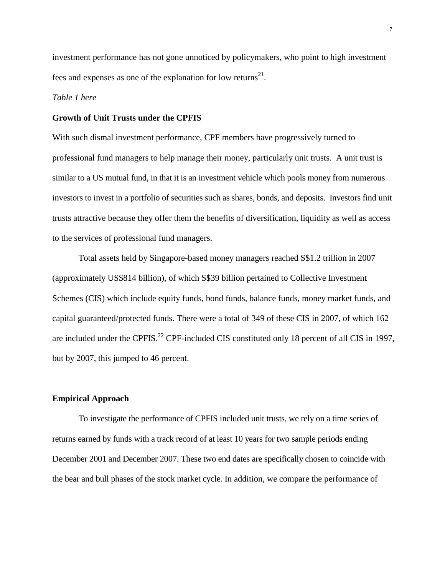investment performance has not gone unnoticed by policymakers, who point to high investment fees and expenses as one of the explanation for low returns<sup>21</sup>.

#### *Table 1 here*

#### **Growth of Unit Trusts under the CPFIS**

With such dismal investment performance, CPF members have progressively turned to professional fund managers to help manage their money, particularly unit trusts. A unit trust is similar to a US mutual fund, in that it is an investment vehicle which pools money from numerous investors to invest in a portfolio of securities such as shares, bonds, and deposits. Investors find unit trusts attractive because they offer them the benefits of diversification, liquidity as well as access to the services of professional fund managers.

Total assets held by Singapore-based money managers reached S\$1.2 trillion in 2007 (approximately US\$814 billion), of which S\$39 billion pertained to Collective Investment Schemes (CIS) which include equity funds, bond funds, balance funds, money market funds, and capital guaranteed/protected funds. There were a total of 349 of these CIS in 2007, of which 162 are included under the CPFIS.<sup>22</sup> CPF-included CIS constituted only 18 percent of all CIS in 1997, but by 2007, this jumped to 46 percent.

#### **Empirical Approach**

To investigate the performance of CPFIS included unit trusts, we rely on a time series of returns earned by funds with a track record of at least 10 years for two sample periods ending December 2001 and December 2007. These two end dates are specifically chosen to coincide with the bear and bull phases of the stock market cycle. In addition, we compare the performance of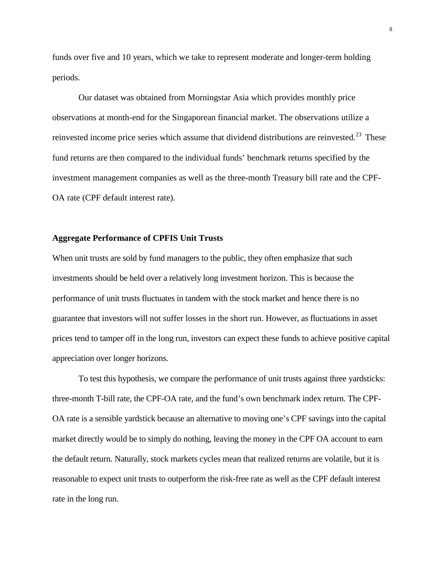funds over five and 10 years, which we take to represent moderate and longer-term holding periods.

Our dataset was obtained from Morningstar Asia which provides monthly price observations at month-end for the Singaporean financial market. The observations utilize a reinvested income price series which assume that dividend distributions are reinvested.<sup>23</sup> These fund returns are then compared to the individual funds' benchmark returns specified by the investment management companies as well as the three-month Treasury bill rate and the CPF-OA rate (CPF default interest rate).

#### **Aggregate Performance of CPFIS Unit Trusts**

When unit trusts are sold by fund managers to the public, they often emphasize that such investments should be held over a relatively long investment horizon. This is because the performance of unit trusts fluctuates in tandem with the stock market and hence there is no guarantee that investors will not suffer losses in the short run. However, as fluctuations in asset prices tend to tamper off in the long run, investors can expect these funds to achieve positive capital appreciation over longer horizons.

To test this hypothesis, we compare the performance of unit trusts against three yardsticks: three-month T-bill rate, the CPF-OA rate, and the fund's own benchmark index return. The CPF-OA rate is a sensible yardstick because an alternative to moving one's CPF savings into the capital market directly would be to simply do nothing, leaving the money in the CPF OA account to earn the default return. Naturally, stock markets cycles mean that realized returns are volatile, but it is reasonable to expect unit trusts to outperform the risk-free rate as well as the CPF default interest rate in the long run.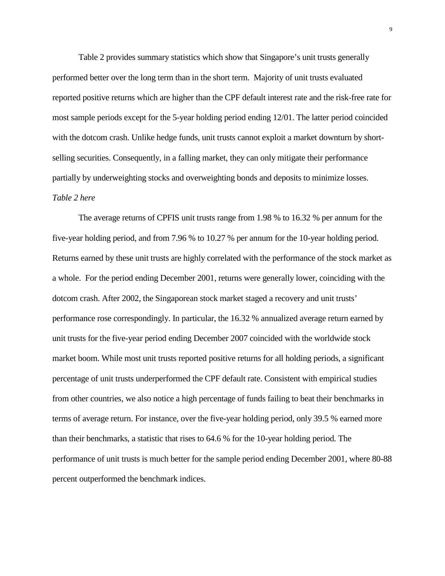Table 2 provides summary statistics which show that Singapore's unit trusts generally performed better over the long term than in the short term. Majority of unit trusts evaluated reported positive returns which are higher than the CPF default interest rate and the risk-free rate for most sample periods except for the 5-year holding period ending 12/01. The latter period coincided with the dotcom crash. Unlike hedge funds, unit trusts cannot exploit a market downturn by shortselling securities. Consequently, in a falling market, they can only mitigate their performance partially by underweighting stocks and overweighting bonds and deposits to minimize losses. *Table 2 here*

The average returns of CPFIS unit trusts range from 1.98 % to 16.32 % per annum for the five-year holding period, and from 7.96 % to 10.27 % per annum for the 10-year holding period. Returns earned by these unit trusts are highly correlated with the performance of the stock market as a whole. For the period ending December 2001, returns were generally lower, coinciding with the dotcom crash. After 2002, the Singaporean stock market staged a recovery and unit trusts' performance rose correspondingly. In particular, the 16.32 % annualized average return earned by unit trusts for the five-year period ending December 2007 coincided with the worldwide stock market boom. While most unit trusts reported positive returns for all holding periods, a significant percentage of unit trusts underperformed the CPF default rate. Consistent with empirical studies from other countries, we also notice a high percentage of funds failing to beat their benchmarks in terms of average return. For instance, over the five-year holding period, only 39.5 % earned more than their benchmarks, a statistic that rises to 64.6 % for the 10-year holding period. The performance of unit trusts is much better for the sample period ending December 2001, where 80-88 percent outperformed the benchmark indices.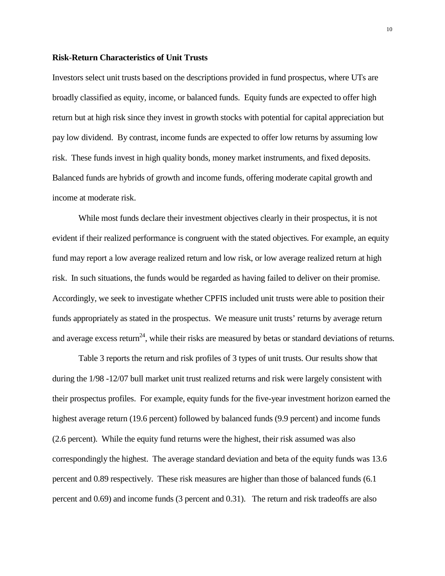#### **Risk-Return Characteristics of Unit Trusts**

Investors select unit trusts based on the descriptions provided in fund prospectus, where UTs are broadly classified as equity, income, or balanced funds. Equity funds are expected to offer high return but at high risk since they invest in growth stocks with potential for capital appreciation but pay low dividend. By contrast, income funds are expected to offer low returns by assuming low risk. These funds invest in high quality bonds, money market instruments, and fixed deposits. Balanced funds are hybrids of growth and income funds, offering moderate capital growth and income at moderate risk.

While most funds declare their investment objectives clearly in their prospectus, it is not evident if their realized performance is congruent with the stated objectives. For example, an equity fund may report a low average realized return and low risk, or low average realized return at high risk. In such situations, the funds would be regarded as having failed to deliver on their promise. Accordingly, we seek to investigate whether CPFIS included unit trusts were able to position their funds appropriately as stated in the prospectus. We measure unit trusts' returns by average return and average excess return<sup>24</sup>, while their risks are measured by betas or standard deviations of returns.

Table 3 reports the return and risk profiles of 3 types of unit trusts. Our results show that during the 1/98 -12/07 bull market unit trust realized returns and risk were largely consistent with their prospectus profiles. For example, equity funds for the five-year investment horizon earned the highest average return (19.6 percent) followed by balanced funds (9.9 percent) and income funds (2.6 percent). While the equity fund returns were the highest, their risk assumed was also correspondingly the highest. The average standard deviation and beta of the equity funds was 13.6 percent and 0.89 respectively. These risk measures are higher than those of balanced funds (6.1 percent and 0.69) and income funds (3 percent and 0.31). The return and risk tradeoffs are also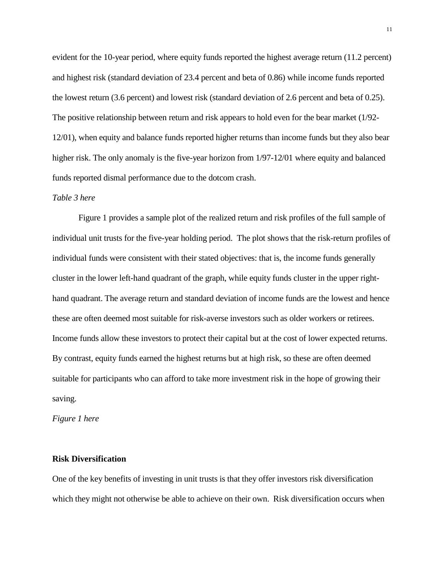evident for the 10-year period, where equity funds reported the highest average return (11.2 percent) and highest risk (standard deviation of 23.4 percent and beta of 0.86) while income funds reported the lowest return (3.6 percent) and lowest risk (standard deviation of 2.6 percent and beta of 0.25). The positive relationship between return and risk appears to hold even for the bear market (1/92- 12/01), when equity and balance funds reported higher returns than income funds but they also bear higher risk. The only anomaly is the five-year horizon from  $1/97-12/01$  where equity and balanced funds reported dismal performance due to the dotcom crash.

#### *Table 3 here*

Figure 1 provides a sample plot of the realized return and risk profiles of the full sample of individual unit trusts for the five-year holding period. The plot shows that the risk-return profiles of individual funds were consistent with their stated objectives: that is, the income funds generally cluster in the lower left-hand quadrant of the graph, while equity funds cluster in the upper righthand quadrant. The average return and standard deviation of income funds are the lowest and hence these are often deemed most suitable for risk-averse investors such as older workers or retirees. Income funds allow these investors to protect their capital but at the cost of lower expected returns. By contrast, equity funds earned the highest returns but at high risk, so these are often deemed suitable for participants who can afford to take more investment risk in the hope of growing their saving.

*Figure 1 here*

### **Risk Diversification**

One of the key benefits of investing in unit trusts is that they offer investors risk diversification which they might not otherwise be able to achieve on their own. Risk diversification occurs when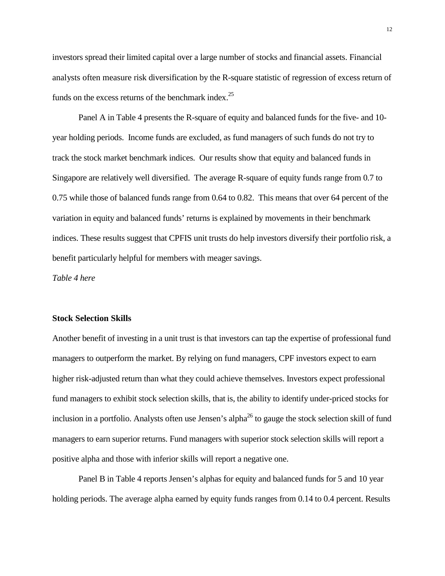investors spread their limited capital over a large number of stocks and financial assets. Financial analysts often measure risk diversification by the R-square statistic of regression of excess return of funds on the excess returns of the benchmark index.<sup>25</sup>

Panel A in Table 4 presents the R-square of equity and balanced funds for the five- and 10 year holding periods. Income funds are excluded, as fund managers of such funds do not try to track the stock market benchmark indices. Our results show that equity and balanced funds in Singapore are relatively well diversified. The average R-square of equity funds range from 0.7 to 0.75 while those of balanced funds range from 0.64 to 0.82. This means that over 64 percent of the variation in equity and balanced funds' returns is explained by movements in their benchmark indices. These results suggest that CPFIS unit trusts do help investors diversify their portfolio risk, a benefit particularly helpful for members with meager savings.

*Table 4 here*

#### **Stock Selection Skills**

Another benefit of investing in a unit trust is that investors can tap the expertise of professional fund managers to outperform the market. By relying on fund managers, CPF investors expect to earn higher risk-adjusted return than what they could achieve themselves. Investors expect professional fund managers to exhibit stock selection skills, that is, the ability to identify under-priced stocks for inclusion in a portfolio. Analysts often use Jensen's alpha<sup>26</sup> to gauge the stock selection skill of fund managers to earn superior returns. Fund managers with superior stock selection skills will report a positive alpha and those with inferior skills will report a negative one.

Panel B in Table 4 reports Jensen's alphas for equity and balanced funds for 5 and 10 year holding periods. The average alpha earned by equity funds ranges from 0.14 to 0.4 percent. Results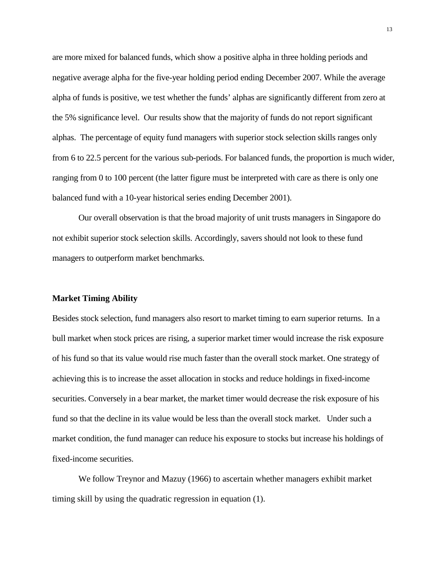are more mixed for balanced funds, which show a positive alpha in three holding periods and negative average alpha for the five-year holding period ending December 2007. While the average alpha of funds is positive, we test whether the funds' alphas are significantly different from zero at the 5% significance level. Our results show that the majority of funds do not report significant alphas. The percentage of equity fund managers with superior stock selection skills ranges only from 6 to 22.5 percent for the various sub-periods. For balanced funds, the proportion is much wider, ranging from 0 to 100 percent (the latter figure must be interpreted with care as there is only one balanced fund with a 10-year historical series ending December 2001).

Our overall observation is that the broad majority of unit trusts managers in Singapore do not exhibit superior stock selection skills. Accordingly, savers should not look to these fund managers to outperform market benchmarks.

#### **Market Timing Ability**

Besides stock selection, fund managers also resort to market timing to earn superior returns. In a bull market when stock prices are rising, a superior market timer would increase the risk exposure of his fund so that its value would rise much faster than the overall stock market. One strategy of achieving this is to increase the asset allocation in stocks and reduce holdings in fixed-income securities. Conversely in a bear market, the market timer would decrease the risk exposure of his fund so that the decline in its value would be less than the overall stock market. Under such a market condition, the fund manager can reduce his exposure to stocks but increase his holdings of fixed-income securities.

We follow Treynor and Mazuy (1966) to ascertain whether managers exhibit market timing skill by using the quadratic regression in equation (1).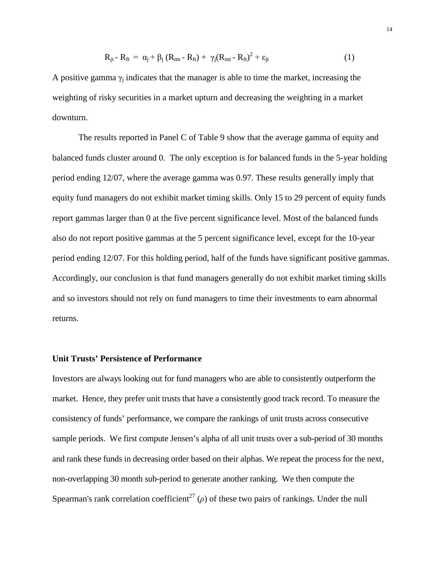$$
R_{jt} - R_{ft} = \alpha_j + \beta_j (R_{mt} - R_{ft}) + \gamma_j (R_{mt} - R_{ft})^2 + \epsilon_{jt}
$$
\n(1)

A positive gamma  $\gamma_i$  indicates that the manager is able to time the market, increasing the weighting of risky securities in a market upturn and decreasing the weighting in a market downturn.

The results reported in Panel C of Table 9 show that the average gamma of equity and balanced funds cluster around 0. The only exception is for balanced funds in the 5-year holding period ending 12/07, where the average gamma was 0.97. These results generally imply that equity fund managers do not exhibit market timing skills. Only 15 to 29 percent of equity funds report gammas larger than 0 at the five percent significance level. Most of the balanced funds also do not report positive gammas at the 5 percent significance level, except for the 10-year period ending 12/07. For this holding period, half of the funds have significant positive gammas. Accordingly, our conclusion is that fund managers generally do not exhibit market timing skills and so investors should not rely on fund managers to time their investments to earn abnormal returns.

#### **Unit Trusts' Persistence of Performance**

Investors are always looking out for fund managers who are able to consistently outperform the market. Hence, they prefer unit trusts that have a consistently good track record. To measure the consistency of funds' performance, we compare the rankings of unit trusts across consecutive sample periods. We first compute Jensen's alpha of all unit trusts over a sub-period of 30 months and rank these funds in decreasing order based on their alphas. We repeat the process for the next, non-overlapping 30 month sub-period to generate another ranking. We then compute the Spearman's rank correlation coefficient<sup>27</sup> ( $\rho$ ) of these two pairs of rankings. Under the null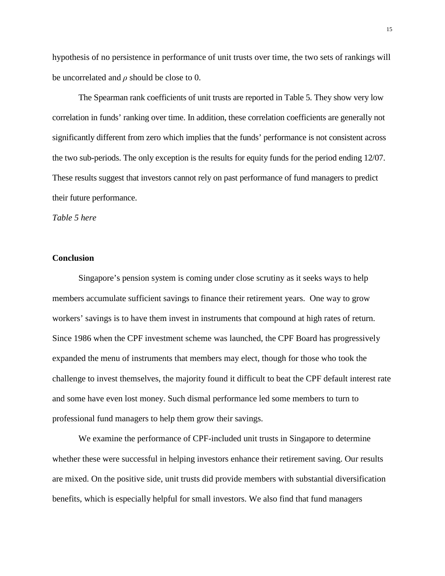hypothesis of no persistence in performance of unit trusts over time, the two sets of rankings will be uncorrelated and *ρ* should be close to 0.

The Spearman rank coefficients of unit trusts are reported in Table 5. They show very low correlation in funds' ranking over time. In addition, these correlation coefficients are generally not significantly different from zero which implies that the funds' performance is not consistent across the two sub-periods. The only exception is the results for equity funds for the period ending 12/07. These results suggest that investors cannot rely on past performance of fund managers to predict their future performance.

*Table 5 here*

#### **Conclusion**

Singapore's pension system is coming under close scrutiny as it seeks ways to help members accumulate sufficient savings to finance their retirement years. One way to grow workers' savings is to have them invest in instruments that compound at high rates of return. Since 1986 when the CPF investment scheme was launched, the CPF Board has progressively expanded the menu of instruments that members may elect, though for those who took the challenge to invest themselves, the majority found it difficult to beat the CPF default interest rate and some have even lost money. Such dismal performance led some members to turn to professional fund managers to help them grow their savings.

We examine the performance of CPF-included unit trusts in Singapore to determine whether these were successful in helping investors enhance their retirement saving. Our results are mixed. On the positive side, unit trusts did provide members with substantial diversification benefits, which is especially helpful for small investors. We also find that fund managers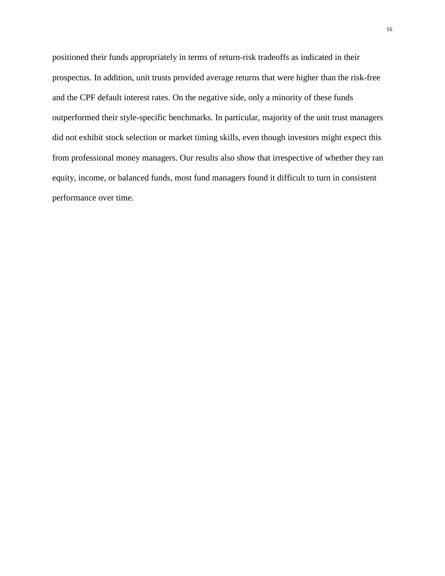positioned their funds appropriately in terms of return-risk tradeoffs as indicated in their prospectus. In addition, unit trusts provided average returns that were higher than the risk-free and the CPF default interest rates. On the negative side, only a minority of these funds outperformed their style-specific benchmarks. In particular, majority of the unit trust managers did not exhibit stock selection or market timing skills, even though investors might expect this from professional money managers. Our results also show that irrespective of whether they ran equity, income, or balanced funds, most fund managers found it difficult to turn in consistent performance over time.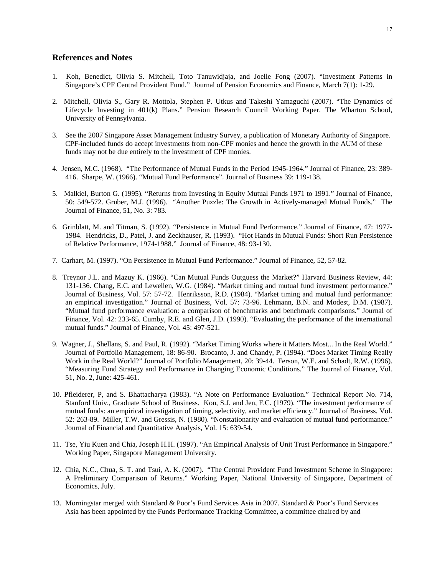#### **References and Notes**

- 1. Koh, Benedict, Olivia S. Mitchell, Toto Tanuwidjaja, and Joelle Fong (2007). "Investment Patterns in Singapore's CPF Central Provident Fund." Journal of Pension Economics and Finance, March 7(1): 1-29.
- 2. Mitchell, Olivia S., Gary R. Mottola, Stephen P. Utkus and Takeshi Yamaguchi (2007). "The Dynamics of Lifecycle Investing in 401(k) Plans." Pension Research Council Working Paper. The Wharton School, University of Pennsylvania.
- 3. See the 2007 Singapore Asset Management Industry Survey, a publication of Monetary Authority of Singapore. CPF-included funds do accept investments from non-CPF monies and hence the growth in the AUM of these funds may not be due entirely to the investment of CPF monies.
- 4. Jensen, M.C. (1968). "The Performance of Mutual Funds in the Period 1945-1964." Journal of Finance, 23: 389- 416. Sharpe, W. (1966). "Mutual Fund Performance". Journal of Business 39: 119-138.
- 5. Malkiel, Burton G. (1995). "Returns from Investing in Equity Mutual Funds 1971 to 1991." Journal of Finance, 50: 549-572. Gruber, M.J. (1996). "Another Puzzle: The Growth in Actively-managed Mutual Funds." The Journal of Finance, 51, No. 3: 783.
- 6. Grinblatt, M. and Titman, S. (1992). "Persistence in Mutual Fund Performance." Journal of Finance, 47: 1977- 1984. Hendricks, D., Patel, J. and Zeckhauser, R. (1993). "Hot Hands in Mutual Funds: Short Run Persistence of Relative Performance, 1974-1988." Journal of Finance, 48: 93-130.
- 7. Carhart, M. (1997). "On Persistence in Mutual Fund Performance." Journal of Finance, 52, 57-82.
- 8. Treynor J.L. and Mazuy K. (1966). "Can Mutual Funds Outguess the Market?" Harvard Business Review, 44: 131-136. Chang, E.C. and Lewellen, W.G. (1984). "Market timing and mutual fund investment performance." Journal of Business, Vol. 57: 57-72. Henriksson, R.D. (1984). "Market timing and mutual fund performance: an empirical investigation." Journal of Business, Vol. 57: 73-96. Lehmann, B.N. and Modest, D.M. (1987). "Mutual fund performance evaluation: a comparison of benchmarks and benchmark comparisons." Journal of Finance, Vol. 42: 233-65. Cumby, R.E. and Glen, J.D. (1990). "Evaluating the performance of the international mutual funds." Journal of Finance, Vol. 45: 497-521.
- 9. Wagner, J., Shellans, S. and Paul, R. (1992). "Market Timing Works where it Matters Most... In the Real World." Journal of Portfolio Management, 18: 86-90. Brocanto, J. and Chandy, P. (1994). "Does Market Timing Really Work in the Real World?" Journal of Portfolio Management, 20: 39-44. Ferson, W.E. and Schadt, R.W. (1996). "Measuring Fund Strategy and Performance in Changing Economic Conditions." The Journal of Finance, Vol. 51, No. 2, June: 425-461.
- 10. Pfleiderer, P, and S. Bhattacharya (1983). "A Note on Performance Evaluation." Technical Report No. 714, Stanford Univ., Graduate School of Business. Kon, S.J. and Jen, F.C. (1979). "The investment performance of mutual funds: an empirical investigation of timing, selectivity, and market efficiency." Journal of Business, Vol. 52: 263-89. Miller, T.W. and Gressis, N. (1980). "Nonstationarity and evaluation of mutual fund performance." Journal of Financial and Quantitative Analysis, Vol. 15: 639-54.
- 11. Tse, Yiu Kuen and Chia, Joseph H.H. (1997). "An Empirical Analysis of Unit Trust Performance in Singapore." Working Paper, Singapore Management University.
- 12. Chia, N.C., Chua, S. T. and Tsui, A. K. (2007). "The Central Provident Fund Investment Scheme in Singapore: A Preliminary Comparison of Returns." Working Paper, National University of Singapore, Department of Economics, July.
- 13. Morningstar merged with Standard & Poor's Fund Services Asia in 2007. Standard & Poor's Fund Services Asia has been appointed by the Funds Performance Tracking Committee, a committee chaired by and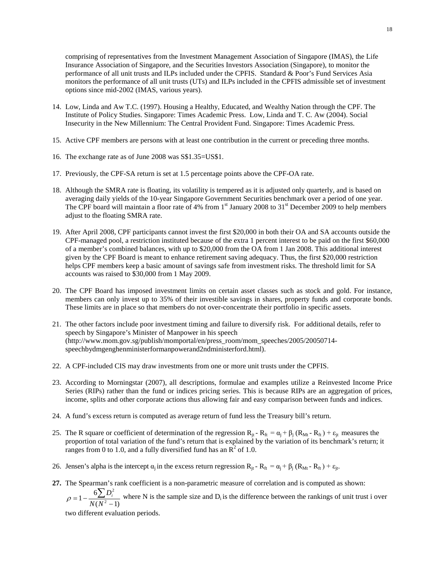comprising of representatives from the Investment Management Association of Singapore (IMAS), the Life Insurance Association of Singapore, and the Securities Investors Association (Singapore), to monitor the performance of all unit trusts and ILPs included under the CPFIS. Standard & Poor's Fund Services Asia monitors the performance of all unit trusts (UTs) and ILPs included in the CPFIS admissible set of investment options since mid-2002 (IMAS, various years).

- 14. Low, Linda and Aw T.C. (1997). Housing a Healthy, Educated, and Wealthy Nation through the CPF. The Institute of Policy Studies. Singapore: Times Academic Press. Low, Linda and T. C. Aw (2004). Social Insecurity in the New Millennium: The Central Provident Fund. Singapore: Times Academic Press.
- 15. Active CPF members are persons with at least one contribution in the current or preceding three months.
- 16. The exchange rate as of June 2008 was S\$1.35=US\$1.
- 17. Previously, the CPF-SA return is set at 1.5 percentage points above the CPF-OA rate.
- 18. Although the SMRA rate is floating, its volatility is tempered as it is adjusted only quarterly, and is based on averaging daily yields of the 10-year Singapore Government Securities benchmark over a period of one year. The CPF board will maintain a floor rate of 4% from  $1<sup>st</sup>$  January 2008 to 31<sup>st</sup> December 2009 to help members adjust to the floating SMRA rate.
- 19. After April 2008, CPF participants cannot invest the first \$20,000 in both their OA and SA accounts outside the CPF-managed pool, a restriction instituted because of the extra 1 percent interest to be paid on the first \$60,000 of a member's combined balances, with up to \$20,000 from the OA from 1 Jan 2008. This additional interest given by the CPF Board is meant to enhance retirement saving adequacy. Thus, the first \$20,000 restriction helps CPF members keep a basic amount of savings safe from investment risks. The threshold limit for SA accounts was raised to \$30,000 from 1 May 2009.
- 20. The CPF Board has imposed investment limits on certain asset classes such as stock and gold. For instance, members can only invest up to 35% of their investible savings in shares, property funds and corporate bonds. These limits are in place so that members do not over-concentrate their portfolio in specific assets.
- 21. The other factors include poor investment timing and failure to diversify risk. For additional details, refer to speech by Singapore's Minister of Manpower in his speech (http://www.mom.gov.sg/publish/momportal/en/press\_room/mom\_speeches/2005/20050714 speechbydmgenghenministerformanpowerand2ndministerford.html).
- 22. A CPF-included CIS may draw investments from one or more unit trusts under the CPFIS.
- 23. According to Morningstar (2007), all descriptions, formulae and examples utilize a Reinvested Income Price Series (RIPs) rather than the fund or indices pricing series. This is because RIPs are an aggregation of prices, income, splits and other corporate actions thus allowing fair and easy comparison between funds and indices.
- 24. A fund's excess return is computed as average return of fund less the Treasury bill's return.
- 25. The R square or coefficient of determination of the regression  $R_{it} R_{ft} = \alpha_i + \beta_i (R_{Mt} R_{ft}) + \varepsilon_{it}$  measures the proportion of total variation of the fund's return that is explained by the variation of its benchmark's return; it ranges from 0 to 1.0, and a fully diversified fund has an  $\mathbb{R}^2$  of 1.0.
- 26. Jensen's alpha is the intercept  $\alpha_i$  in the excess return regression  $R_{it} R_{ft} = \alpha_i + \beta_i (R_{Mt} R_{ft}) + \epsilon_{it}$ .
- **27.** The Spearman's rank coefficient is a non-parametric measure of correlation and is computed as shown:

 $(N^2 - 1)$  $1-\frac{6\sum}{N(N)^2}$  $\rho = 1 - \frac{6\sum D_i^2}{N(N^2 - 1)}$  where N is the sample size and D<sub>i</sub> is the difference between the rankings of unit trust i over

two different evaluation periods.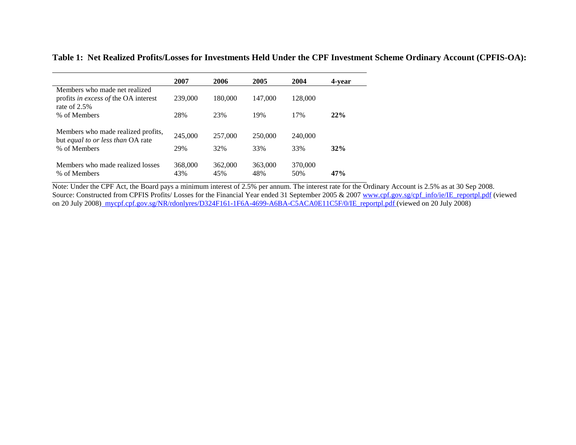| Table 1: Net Realized Profits/Losses for Investments Held Under the CPF Investment Scheme Ordinary Account (CPFIS-OA): |  |  |
|------------------------------------------------------------------------------------------------------------------------|--|--|
|------------------------------------------------------------------------------------------------------------------------|--|--|

|                                                   | 2007    | 2006    | 2005    | 2004    | 4-vear |
|---------------------------------------------------|---------|---------|---------|---------|--------|
| Members who made net realized                     |         |         |         |         |        |
| profits <i>in excess of</i> the OA interest       | 239,000 | 180.000 | 147,000 | 128,000 |        |
| rate of $2.5%$                                    |         |         |         |         |        |
| % of Members                                      | 28%     | 23%     | 19%     | 17%     | 22%    |
|                                                   |         |         |         |         |        |
| Members who made realized profits,                | 245,000 | 257,000 | 250,000 | 240,000 |        |
| but equal to or less than OA rate<br>% of Members | 29%     | 32%     | 33%     | 33%     | 32%    |
|                                                   |         |         |         |         |        |
| Members who made realized losses                  | 368,000 | 362,000 | 363,000 | 370,000 |        |
| % of Members                                      | 43%     | 45%     | 48%     | 50%     | 47%    |

Note: Under the CPF Act, the Board pays a minimum interest of 2.5% per annum. The interest rate for the Ordinary Account is 2.5% as at 30 Sep 2008. Source: Constructed from CPFIS Profits/ Losses for the Financial Year ended 31 September 2005 & 2007 [www.cpf.gov.sg/cpf\\_info/ie/IE\\_reportpl.pdf](http://www.cpf.gov.sg/cpf_info/ie/IE_reportpl.pdf) (viewed on 20 July 2008<u>) [mycpf.cpf.gov.sg/NR/rdonlyres/D324F161-1F6A-4699-A6BA-C5ACA0E11C5F/0/IE\\_reportpl.pdf](http://mycpf.cpf.gov.sg/NR/rdonlyres/D324F161-1F6A-4699-A6BA-C5ACA0E11C5F/0/IE_reportpl.pdf) (</u>viewed on 20 July 2008)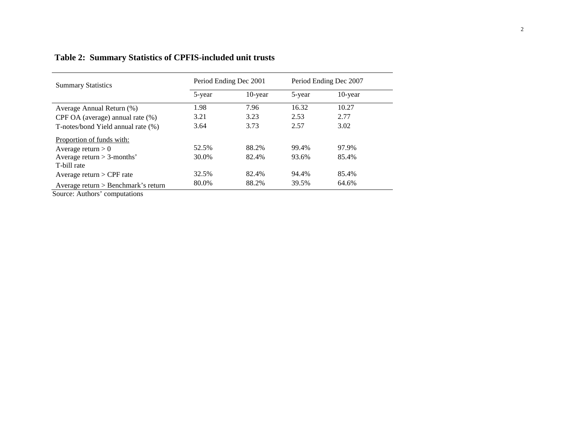| <b>Summary Statistics</b>             | Period Ending Dec 2001 |         | Period Ending Dec 2007 |            |
|---------------------------------------|------------------------|---------|------------------------|------------|
|                                       | 5-year                 | 10-year | 5-year                 | $10$ -year |
| Average Annual Return (%)             | 1.98                   | 7.96    | 16.32                  | 10.27      |
| CPF OA (average) annual rate $(\%)$   | 3.21                   | 3.23    | 2.53                   | 2.77       |
| T-notes/bond Yield annual rate (%)    | 3.64                   | 3.73    | 2.57                   | 3.02       |
| Proportion of funds with:             |                        |         |                        |            |
| Average return $> 0$                  | 52.5%                  | 88.2%   | 99.4%                  | 97.9%      |
| Average return $>$ 3-months'          | 30.0%                  | 82.4%   | 93.6%                  | 85.4%      |
| T-bill rate                           |                        |         |                        |            |
| Average return $>$ CPF rate           | 32.5%                  | 82.4%   | 94.4%                  | 85.4%      |
| Average return $>$ Benchmark's return | 80.0%                  | 88.2%   | 39.5%                  | 64.6%      |

# **Table 2: Summary Statistics of CPFIS-included unit trusts**

Source: Authors' computations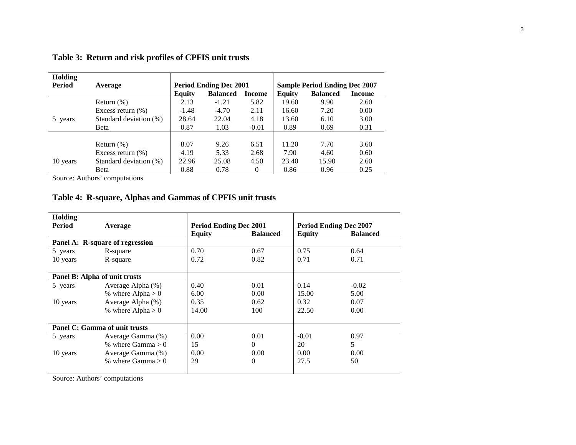| Holding       |                        |                               |                 |               |                                      |                 |               |
|---------------|------------------------|-------------------------------|-----------------|---------------|--------------------------------------|-----------------|---------------|
| <b>Period</b> | Average                | <b>Period Ending Dec 2001</b> |                 |               | <b>Sample Period Ending Dec 2007</b> |                 |               |
|               |                        | <b>Equity</b>                 | <b>Balanced</b> | <b>Income</b> | Equity                               | <b>Balanced</b> | <b>Income</b> |
|               | Return $(\%)$          | 2.13                          | $-1.21$         | 5.82          | 19.60                                | 9.90            | 2.60          |
|               | Excess return $(\% )$  | $-1.48$                       | $-4.70$         | 2.11          | 16.60                                | 7.20            | 0.00          |
| 5 years       | Standard deviation (%) | 28.64                         | 22.04           | 4.18          | 13.60                                | 6.10            | 3.00          |
|               | Beta                   | 0.87                          | 1.03            | $-0.01$       | 0.89                                 | 0.69            | 0.31          |
|               |                        |                               |                 |               |                                      |                 |               |
|               | Return $(\%)$          | 8.07                          | 9.26            | 6.51          | 11.20                                | 7.70            | 3.60          |
|               | Excess return $(\% )$  | 4.19                          | 5.33            | 2.68          | 7.90                                 | 4.60            | 0.60          |
| 10 years      | Standard deviation (%) | 22.96                         | 25.08           | 4.50          | 23.40                                | 15.90           | 2.60          |
|               | Beta                   | 0.88                          | 0.78            | $\mathbf{0}$  | 0.86                                 | 0.96            | 0.25          |

**Table 3: Return and risk profiles of CPFIS unit trusts**

Source: Authors' computations

## **Table 4: R-square, Alphas and Gammas of CPFIS unit trusts**

| Holding  |                                 |                               |                 |               |                               |
|----------|---------------------------------|-------------------------------|-----------------|---------------|-------------------------------|
| Period   | Average                         | <b>Period Ending Dec 2001</b> |                 |               | <b>Period Ending Dec 2007</b> |
|          |                                 | <b>Equity</b>                 | <b>Balanced</b> | <b>Equity</b> | <b>Balanced</b>               |
|          | Panel A: R-square of regression |                               |                 |               |                               |
| 5 years  | R-square                        | 0.70                          | 0.67            | 0.75          | 0.64                          |
| 10 years | R-square                        | 0.72                          | 0.82            | 0.71          | 0.71                          |
|          |                                 |                               |                 |               |                               |
|          | Panel B: Alpha of unit trusts   |                               |                 |               |                               |
| 5 years  | Average Alpha (%)               | 0.40                          | 0.01            | 0.14          | $-0.02$                       |
|          | % where $Alpha > 0$             | 6.00                          | 0.00            | 15.00         | 5.00                          |
| 10 years | Average Alpha (%)               | 0.35                          | 0.62            | 0.32          | 0.07                          |
|          | % where $Alpha > 0$             | 14.00                         | 100             | 22.50         | 0.00                          |
|          |                                 |                               |                 |               |                               |
|          | Panel C: Gamma of unit trusts   |                               |                 |               |                               |
| 5 years  | Average Gamma (%)               | 0.00                          | 0.01            | $-0.01$       | 0.97                          |
|          | % where $Gamma > 0$             | 15                            | $\theta$        | 20            | 5                             |
| 10 years | Average Gamma (%)               | 0.00                          | 0.00            | 0.00          | 0.00                          |
|          | % where $Gamma > 0$             | 29                            | $\Omega$        | 27.5          | 50                            |
|          |                                 |                               |                 |               |                               |

Source: Authors' computations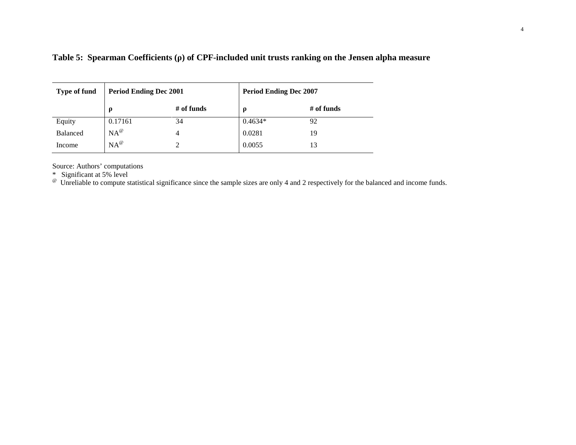| <b>Type of fund</b> | <b>Period Ending Dec 2001</b> |            | <b>Period Ending Dec 2007</b> |              |
|---------------------|-------------------------------|------------|-------------------------------|--------------|
|                     | O                             | # of funds | $\rho$                        | $#$ of funds |
| Equity              | 0.17161                       | 34         | $0.4634*$                     | 92           |
| Balanced            | $NA^{\omega}$                 | 4          | 0.0281                        | 19           |
| Income              | $NA^{\omega}$                 |            | 0.0055                        | 13           |

**Table 5: Spearman Coefficients (ρ) of CPF-included unit trusts ranking on the Jensen alpha measure**

Source: Authors' computations

\* Significant at 5% level<br>\* Significant at 5% level<br><sup>@</sup> Unreliable to compute statistical significance since the sample sizes are only 4 and 2 respectively for the balanced and income funds.